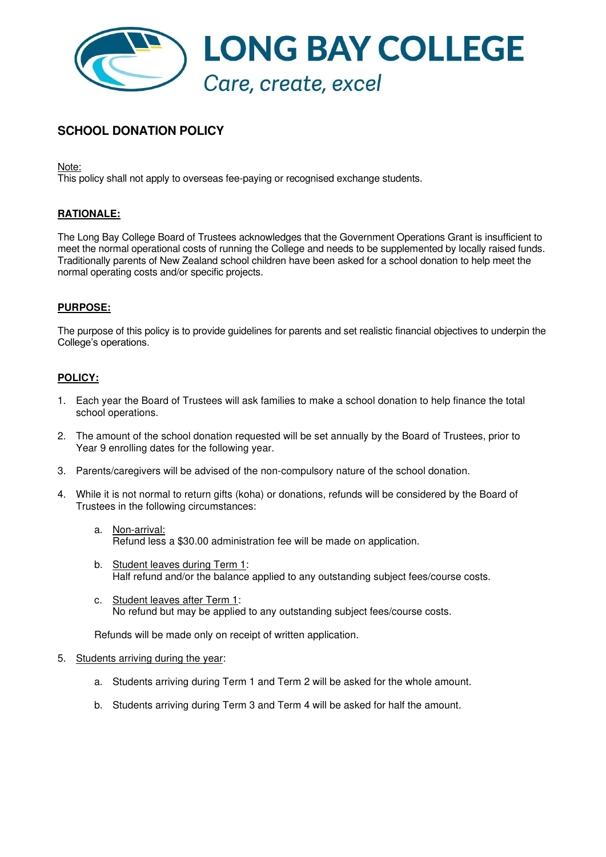

# **SCHOOL DONATION POLICY**

Note:

This policy shall not apply to overseas fee-paying or recognised exchange students.

## **RATIONALE:**

The Long Bay College Board of Trustees acknowledges that the Government Operations Grant is insufficient to meet the normal operational costs of running the College and needs to be supplemented by locally raised funds. Traditionally parents of New Zealand school children have been asked for a school donation to help meet the normal operating costs and/or specific projects.

## **PURPOSE:**

The purpose of this policy is to provide guidelines for parents and set realistic financial objectives to underpin the College's operations.

#### **POLICY:**

- 1. Each year the Board of Trustees will ask families to make a school donation to help finance the total school operations.
- 2. The amount of the school donation requested will be set annually by the Board of Trustees, prior to Year 9 enrolling dates for the following year.
- 3. Parents/caregivers will be advised of the non-compulsory nature of the school donation.
- 4. While it is not normal to return gifts (koha) or donations, refunds will be considered by the Board of Trustees in the following circumstances:
	- a. Non-arrival: Refund less a \$30.00 administration fee will be made on application.
	- b. Student leaves during Term 1: Half refund and/or the balance applied to any outstanding subject fees/course costs.
	- c. Student leaves after Term 1: No refund but may be applied to any outstanding subject fees/course costs.

Refunds will be made only on receipt of written application.

#### 5. Students arriving during the year:

- a. Students arriving during Term 1 and Term 2 will be asked for the whole amount.
- b. Students arriving during Term 3 and Term 4 will be asked for half the amount.